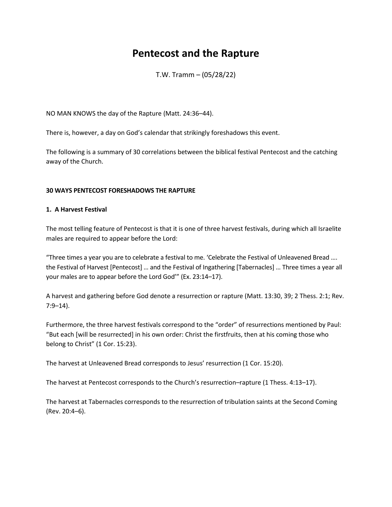# **Pentecost and the Rapture**

T.W. Tramm – (05/28/22)

NO MAN KNOWS the day of the Rapture (Matt. 24:36–44).

There is, however, a day on God's calendar that strikingly foreshadows this event.

The following is a summary of 30 correlations between the biblical festival Pentecost and the catching away of the Church.

# **30 WAYS PENTECOST FORESHADOWS THE RAPTURE**

#### **1. A Harvest Festival**

The most telling feature of Pentecost is that it is one of three harvest festivals, during which all Israelite males are required to appear before the Lord:

"Three times a year you are to celebrate a festival to me. 'Celebrate the Festival of Unleavened Bread …. the Festival of Harvest [Pentecost] … and the Festival of Ingathering [Tabernacles] … Three times a year all your males are to appear before the Lord God'" (Ex. 23:14–17).

A harvest and gathering before God denote a resurrection or rapture (Matt. 13:30, 39; 2 Thess. 2:1; Rev. 7:9–14).

Furthermore, the three harvest festivals correspond to the "order" of resurrections mentioned by Paul: "But each [will be resurrected] in his own order: Christ the firstfruits, then at his coming those who belong to Christ" (1 Cor. 15:23).

The harvest at Unleavened Bread corresponds to Jesus' resurrection (1 Cor. 15:20).

The harvest at Pentecost corresponds to the Church's resurrection–rapture (1 Thess. 4:13–17).

The harvest at Tabernacles corresponds to the resurrection of tribulation saints at the Second Coming (Rev. 20:4–6).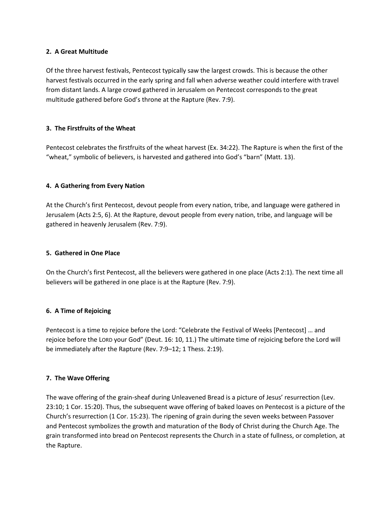# **2. A Great Multitude**

Of the three harvest festivals, Pentecost typically saw the largest crowds. This is because the other harvest festivals occurred in the early spring and fall when adverse weather could interfere with travel from distant lands. A large crowd gathered in Jerusalem on Pentecost corresponds to the great multitude gathered before God's throne at the Rapture (Rev. 7:9).

# **3. The Firstfruits of the Wheat**

Pentecost celebrates the firstfruits of the wheat harvest (Ex. 34:22). The Rapture is when the first of the "wheat," symbolic of believers, is harvested and gathered into God's "barn" (Matt. 13).

# **4. A Gathering from Every Nation**

At the Church's first Pentecost, devout people from every nation, tribe, and language were gathered in Jerusalem (Acts 2:5, 6). At the Rapture, devout people from every nation, tribe, and language will be gathered in heavenly Jerusalem (Rev. 7:9).

## **5. Gathered in One Place**

On the Church's first Pentecost, all the believers were gathered in one place (Acts 2:1). The next time all believers will be gathered in one place is at the Rapture (Rev. 7:9).

#### **6. A Time of Rejoicing**

Pentecost is a time to rejoice before the Lord: "Celebrate the Festival of Weeks [Pentecost] … and rejoice before the LORD your God" (Deut. 16: 10, 11.) The ultimate time of rejoicing before the Lord will be immediately after the Rapture (Rev. 7:9–12; 1 Thess. 2:19).

#### **7. The Wave Offering**

The wave offering of the grain-sheaf during Unleavened Bread is a picture of Jesus' resurrection (Lev. 23:10; 1 Cor. 15:20). Thus, the subsequent wave offering of baked loaves on Pentecost is a picture of the Church's resurrection (1 Cor. 15:23). The ripening of grain during the seven weeks between Passover and Pentecost symbolizes the growth and maturation of the Body of Christ during the Church Age. The grain transformed into bread on Pentecost represents the Church in a state of fullness, or completion, at the Rapture.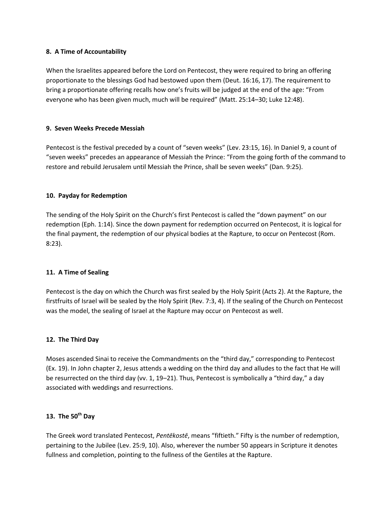## **8. A Time of Accountability**

When the Israelites appeared before the Lord on Pentecost, they were required to bring an offering proportionate to the blessings God had bestowed upon them (Deut. 16:16, 17). The requirement to bring a proportionate offering recalls how one's fruits will be judged at the end of the age: "From everyone who has been given much, much will be required" (Matt. 25:14–30; Luke 12:48).

# **9. Seven Weeks Precede Messiah**

Pentecost is the festival preceded by a count of "seven weeks" (Lev. 23:15, 16). In Daniel 9, a count of "seven weeks" precedes an appearance of Messiah the Prince: "From the going forth of the command to restore and rebuild Jerusalem until Messiah the Prince, shall be seven weeks" (Dan. 9:25).

# **10. Payday for Redemption**

The sending of the Holy Spirit on the Church's first Pentecost is called the "down payment" on our redemption (Eph. 1:14). Since the down payment for redemption occurred on Pentecost, it is logical for the final payment, the redemption of our physical bodies at the Rapture, to occur on Pentecost (Rom. 8:23).

# **11. A Time of Sealing**

Pentecost is the day on which the Church was first sealed by the Holy Spirit (Acts 2). At the Rapture, the firstfruits of Israel will be sealed by the Holy Spirit (Rev. 7:3, 4). If the sealing of the Church on Pentecost was the model, the sealing of Israel at the Rapture may occur on Pentecost as well.

# **12. The Third Day**

Moses ascended Sinai to receive the Commandments on the "third day," corresponding to Pentecost (Ex. 19). In John chapter 2, Jesus attends a wedding on the third day and alludes to the fact that He will be resurrected on the third day (vv. 1, 19–21). Thus, Pentecost is symbolically a "third day," a day associated with weddings and resurrections.

# **13. The 50th Day**

The Greek word translated Pentecost, *Pentēkostē*, means "fiftieth." Fifty is the number of redemption, pertaining to the Jubilee (Lev. 25:9, 10). Also, wherever the number 50 appears in Scripture it denotes fullness and completion, pointing to the fullness of the Gentiles at the Rapture.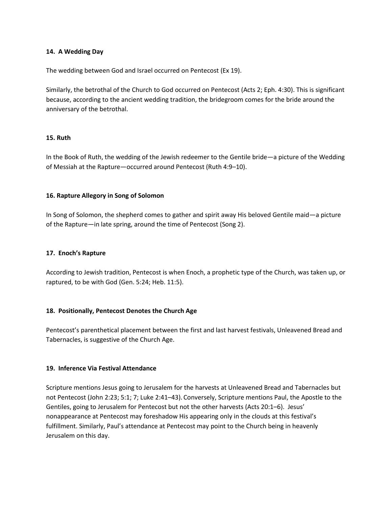#### **14. A Wedding Day**

The wedding between God and Israel occurred on Pentecost (Ex 19).

Similarly, the betrothal of the Church to God occurred on Pentecost (Acts 2; Eph. 4:30). This is significant because, according to the ancient wedding tradition, the bridegroom comes for the bride around the anniversary of the betrothal.

#### **15. Ruth**

In the Book of Ruth, the wedding of the Jewish redeemer to the Gentile bride—a picture of the Wedding of Messiah at the Rapture—occurred around Pentecost (Ruth 4:9–10).

#### **16. Rapture Allegory in Song of Solomon**

In Song of Solomon, the shepherd comes to gather and spirit away His beloved Gentile maid—a picture of the Rapture—in late spring, around the time of Pentecost (Song 2).

#### **17. Enoch's Rapture**

According to Jewish tradition, Pentecost is when Enoch, a prophetic type of the Church, was taken up, or raptured, to be with God (Gen. 5:24; Heb. 11:5).

#### **18. Positionally, Pentecost Denotes the Church Age**

Pentecost's parenthetical placement between the first and last harvest festivals, Unleavened Bread and Tabernacles, is suggestive of the Church Age.

#### **19. Inference Via Festival Attendance**

Scripture mentions Jesus going to Jerusalem for the harvests at Unleavened Bread and Tabernacles but not Pentecost (Joh[n 2:23;](https://www.youtube.com/watch?v=dJZnDWAqmtg&t=143s) 5:1; 7; Luke 2:41–43). Conversely, Scripture mentions Paul, the Apostle to the Gentiles, going to Jerusalem for Pentecost but not the other harvests (Acts 20:1–6). Jesus' nonappearance at Pentecost may foreshadow His appearing only in the clouds at this festival's fulfillment. Similarly, Paul's attendance at Pentecost may point to the Church being in heavenly Jerusalem on this day.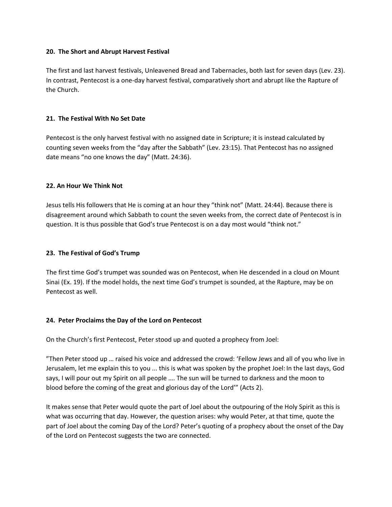## **20. The Short and Abrupt Harvest Festival**

The first and last harvest festivals, Unleavened Bread and Tabernacles, both last for seven days (Lev. 23). In contrast, Pentecost is a one-day harvest festival, comparatively short and abrupt like the Rapture of the Church.

# **21. The Festival With No Set Date**

Pentecost is the only harvest festival with no assigned date in Scripture; it is instead calculated by counting seven weeks from the "day after the Sabbath" (Lev. 23:15). That Pentecost has no assigned date means "no one knows the day" (Matt. 24:36).

# **22. An Hour We Think Not**

Jesus tells His followers that He is coming at an hour they "think not" (Matt. 24:44). Because there is disagreement around which Sabbath to count the seven weeks from, the correct date of Pentecost is in question. It is thus possible that God's true Pentecost is on a day most would "think not."

# **23. The Festival of God's Trump**

The first time God's trumpet was sounded was on Pentecost, when He descended in a cloud on Mount Sinai (Ex. 19). If the model holds, the next time God's trumpet is sounded, at the Rapture, may be on Pentecost as well.

#### **24. Peter Proclaims the Day of the Lord on Pentecost**

On the Church's first Pentecost, Peter stood up and quoted a prophecy from Joel:

"Then Peter stood up … raised his voice and addressed the crowd: 'Fellow Jews and all of you who live in Jerusalem, let me explain this to you ... this is what was spoken by the prophet Joel: In the last days, God says, I will pour out my Spirit on all people …. The sun will be turned to darkness and the moon to blood before the coming of the great and glorious day of the Lord'" (Acts 2).

It makes sense that Peter would quote the part of Joel about the outpouring of the Holy Spirit as this is what was occurring that day. However, the question arises: why would Peter, at that time, quote the part of Joel about the coming Day of the Lord? Peter's quoting of a prophecy about the onset of the Day of the Lord on Pentecost suggests the two are connected.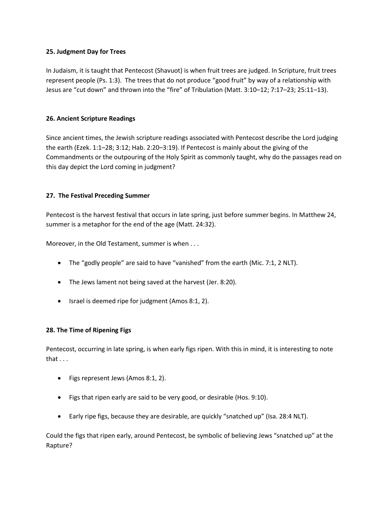# **25. Judgment Day for Trees**

In Judaism, it is taught that Pentecost (Shavuot) is when fruit trees are judged. In Scripture, fruit trees represent people (Ps. 1:3). The trees that do not produce "good fruit" by way of a relationship with Jesus are "cut down" and thrown into the "fire" of Tribulation (Matt. 3:10–12; 7:17–23; 25:11–13).

# **26. Ancient Scripture Readings**

Since ancient times, the Jewish scripture readings associated with Pentecost describe the Lord judging the earth (Ezek. 1:1–28; 3:12; Hab. 2:20–3:19). If Pentecost is mainly about the giving of the Commandments or the outpouring of the Holy Spirit as commonly taught, why do the passages read on this day depict the Lord coming in judgment?

# **27. The Festival Preceding Summer**

Pentecost is the harvest festival that occurs in late spring, just before summer begins. In Matthew 24, summer is a metaphor for the end of the age (Matt. 24:32).

Moreover, in the Old Testament, summer is when . . .

- The "godly people" are said to have "vanished" from the earth (Mic. 7:1, 2 NLT).
- The Jews lament not being saved at the harvest (Jer. 8:20).
- Israel is deemed ripe for judgment (Amos 8:1, 2).

#### **28. The Time of Ripening Figs**

Pentecost, occurring in late spring, is when early figs ripen. With this in mind, it is interesting to note that . . .

- Figs represent Jews (Amos 8:1, 2).
- Figs that ripen early are said to be very good, or desirable (Hos. 9:10).
- Early ripe figs, because they are desirable, are quickly "snatched up" (Isa. 28:4 NLT).

Could the figs that ripen early, around Pentecost, be symbolic of believing Jews "snatched up" at the Rapture?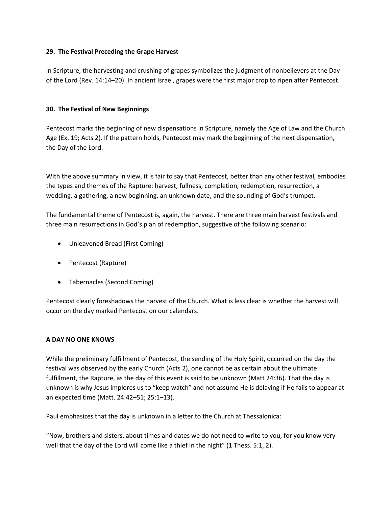# **29. The Festival Preceding the Grape Harvest**

In Scripture, the harvesting and crushing of grapes symbolizes the judgment of nonbelievers at the Day of the Lord (Rev. 14:14–20). In ancient Israel, grapes were the first major crop to ripen after Pentecost.

# **30. The Festival of New Beginnings**

Pentecost marks the beginning of new dispensations in Scripture, namely the Age of Law and the Church Age (Ex. 19; Acts 2). If the pattern holds, Pentecost may mark the beginning of the next dispensation, the Day of the Lord.

With the above summary in view, it is fair to say that Pentecost, better than any other festival, embodies the types and themes of the Rapture: harvest, fullness, completion, redemption, resurrection, a wedding, a gathering, a new beginning, an unknown date, and the sounding of God's trumpet.

The fundamental theme of Pentecost is, again, the harvest. There are three main harvest festivals and three main resurrections in God's plan of redemption, suggestive of the following scenario:

- Unleavened Bread (First Coming)
- Pentecost (Rapture)
- Tabernacles (Second Coming)

Pentecost clearly foreshadows the harvest of the Church. What is less clear is whether the harvest will occur on the day marked Pentecost on our calendars.

# **A DAY NO ONE KNOWS**

While the preliminary fulfillment of Pentecost, the sending of the Holy Spirit, occurred on the day the festival was observed by the early Church (Acts 2), one cannot be as certain about the ultimate fulfillment, the Rapture, as the day of this event is said to be unknown (Matt 24:36). That the day is unknown is why Jesus implores us to "keep watch" and not assume He is delaying if He fails to appear at an expected time (Matt. 24:42–51; 25:1–13).

Paul emphasizes that the day is unknown in a letter to the Church at Thessalonica:

"Now, brothers and sisters, about times and dates we do not need to write to you, for you know very well that the day of the Lord will come like a thief in the night" (1 Thess. 5:1, 2).